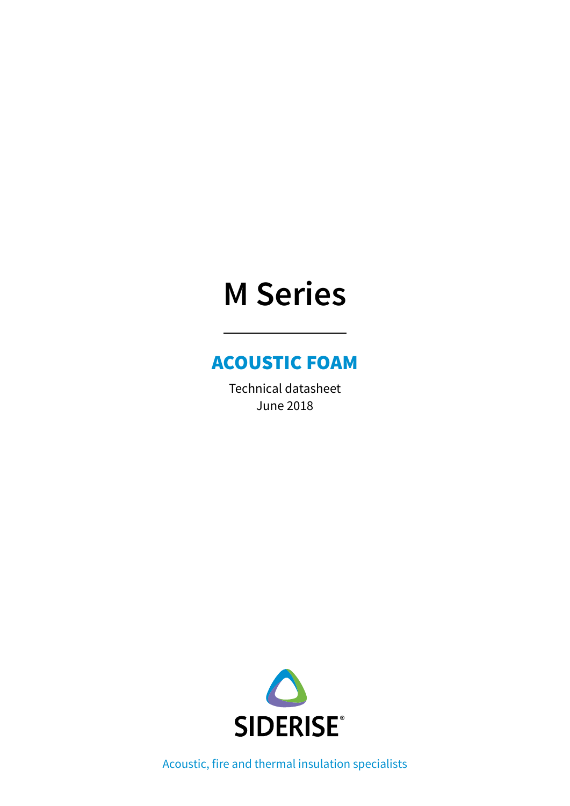# **M Series**

### ACOUSTIC FOAM

Technical datasheet June 2018



Acoustic, fire and thermal insulation specialists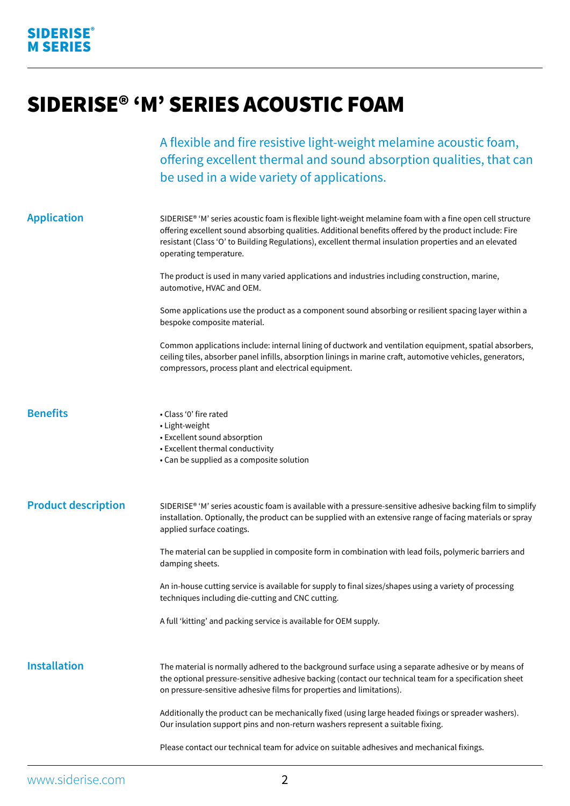## SIDERISE® 'M' SERIES ACOUSTIC FOAM

A flexible and fire resistive light-weight melamine acoustic foam, offering excellent thermal and sound absorption qualities, that can be used in a wide variety of applications.

| <b>Application</b>         | SIDERISE® 'M' series acoustic foam is flexible light-weight melamine foam with a fine open cell structure<br>offering excellent sound absorbing qualities. Additional benefits offered by the product include: Fire<br>resistant (Class 'O' to Building Regulations), excellent thermal insulation properties and an elevated<br>operating temperature. |
|----------------------------|---------------------------------------------------------------------------------------------------------------------------------------------------------------------------------------------------------------------------------------------------------------------------------------------------------------------------------------------------------|
|                            | The product is used in many varied applications and industries including construction, marine,<br>automotive, HVAC and OEM.                                                                                                                                                                                                                             |
|                            | Some applications use the product as a component sound absorbing or resilient spacing layer within a<br>bespoke composite material.                                                                                                                                                                                                                     |
|                            | Common applications include: internal lining of ductwork and ventilation equipment, spatial absorbers,<br>ceiling tiles, absorber panel infills, absorption linings in marine craft, automotive vehicles, generators,<br>compressors, process plant and electrical equipment.                                                                           |
| <b>Benefits</b>            | • Class '0' fire rated<br>• Light-weight<br>• Excellent sound absorption<br>• Excellent thermal conductivity<br>• Can be supplied as a composite solution                                                                                                                                                                                               |
| <b>Product description</b> | SIDERISE® 'M' series acoustic foam is available with a pressure-sensitive adhesive backing film to simplify<br>installation. Optionally, the product can be supplied with an extensive range of facing materials or spray<br>applied surface coatings.                                                                                                  |
|                            | The material can be supplied in composite form in combination with lead foils, polymeric barriers and<br>damping sheets.                                                                                                                                                                                                                                |
|                            | An in-house cutting service is available for supply to final sizes/shapes using a variety of processing<br>techniques including die-cutting and CNC cutting.                                                                                                                                                                                            |
|                            | A full 'kitting' and packing service is available for OEM supply.                                                                                                                                                                                                                                                                                       |
| <b>Installation</b>        | The material is normally adhered to the background surface using a separate adhesive or by means of<br>the optional pressure-sensitive adhesive backing (contact our technical team for a specification sheet<br>on pressure-sensitive adhesive films for properties and limitations).                                                                  |
|                            | Additionally the product can be mechanically fixed (using large headed fixings or spreader washers).<br>Our insulation support pins and non-return washers represent a suitable fixing.                                                                                                                                                                 |
|                            | Please contact our technical team for advice on suitable adhesives and mechanical fixings.                                                                                                                                                                                                                                                              |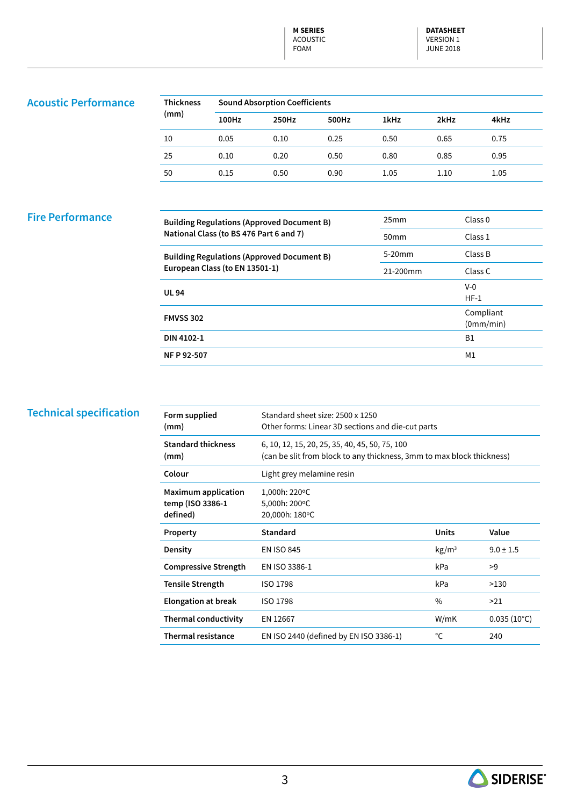**M SERIES** ACOUSTIC FOAM

**DATASHEET**  VERSION 1 JUNE 2018

#### **Acoustic Performance**

| <b>Thickness</b><br>(mm) | <b>Sound Absorption Coefficients</b> |       |       |      |      |      |  |
|--------------------------|--------------------------------------|-------|-------|------|------|------|--|
|                          | 100Hz                                | 250Hz | 500Hz | 1kHz | 2kHz | 4kHz |  |
| 10                       | 0.05                                 | 0.10  | 0.25  | 0.50 | 0.65 | 0.75 |  |
| 25                       | 0.10                                 | 0.20  | 0.50  | 0.80 | 0.85 | 0.95 |  |
| 50                       | 0.15                                 | 0.50  | 0.90  | 1.05 | 1.10 | 1.05 |  |

#### **Fire Performance**

| <b>Building Regulations (Approved Document B)</b> | 25mm             | Class <sub>0</sub> |
|---------------------------------------------------|------------------|--------------------|
| National Class (to BS 476 Part 6 and 7)           | 50 <sub>mm</sub> | Class 1            |
| <b>Building Regulations (Approved Document B)</b> | $5-20$ mm        | Class B            |
| European Class (to EN 13501-1)                    | 21-200mm         | Class C            |
| <b>UL 94</b>                                      |                  | $V-0$              |
|                                                   |                  | $HF-1$             |
| <b>FMVSS 302</b>                                  |                  | Compliant          |
|                                                   |                  | (0mm/min)          |
| DIN 4102-1                                        |                  | <b>B1</b>          |
| NF P 92-507                                       |                  | M <sub>1</sub>     |

#### **Technical specification**

| Form supplied<br>(mm)                                      | Standard sheet size: 2500 x 1250<br>Other forms: Linear 3D sections and die-cut parts                                   |                   |                      |
|------------------------------------------------------------|-------------------------------------------------------------------------------------------------------------------------|-------------------|----------------------|
| <b>Standard thickness</b><br>(mm)                          | 6, 10, 12, 15, 20, 25, 35, 40, 45, 50, 75, 100<br>(can be slit from block to any thickness, 3mm to max block thickness) |                   |                      |
| Colour                                                     | Light grey melamine resin                                                                                               |                   |                      |
| <b>Maximum application</b><br>temp (ISO 3386-1<br>defined) | 1,000h: 220°C<br>5,000h: 200°C<br>20,000h: 180°C                                                                        |                   |                      |
| Property                                                   | <b>Standard</b>                                                                                                         | Units             | Value                |
| Density                                                    | <b>EN ISO 845</b>                                                                                                       | kg/m <sup>3</sup> | $9.0 \pm 1.5$        |
| <b>Compressive Strength</b>                                | EN ISO 3386-1                                                                                                           | kPa               | >9                   |
| <b>Tensile Strength</b>                                    | <b>ISO 1798</b>                                                                                                         | kPa               | >130                 |
| <b>Elongation at break</b>                                 | <b>ISO 1798</b>                                                                                                         | $\frac{0}{0}$     | >21                  |
| <b>Thermal conductivity</b>                                | EN 12667                                                                                                                | W/mK              | $0.035(10^{\circ}C)$ |
| <b>Thermal resistance</b>                                  | EN ISO 2440 (defined by EN ISO 3386-1)                                                                                  | °C                | 240                  |